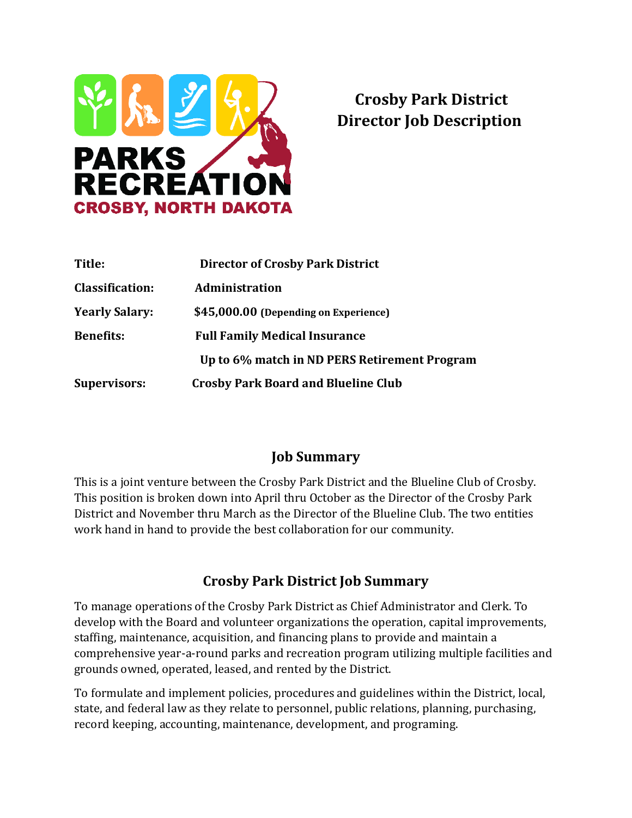

# **Crosby Park District Director Job Description**

| Title:                 | <b>Director of Crosby Park District</b>      |
|------------------------|----------------------------------------------|
| <b>Classification:</b> | <b>Administration</b>                        |
| <b>Yearly Salary:</b>  | \$45,000.00 (Depending on Experience)        |
| <b>Benefits:</b>       | <b>Full Family Medical Insurance</b>         |
|                        | Up to 6% match in ND PERS Retirement Program |
| <b>Supervisors:</b>    | <b>Crosby Park Board and Blueline Club</b>   |

#### **Job Summary**

This is a joint venture between the Crosby Park District and the Blueline Club of Crosby. This position is broken down into April thru October as the Director of the Crosby Park District and November thru March as the Director of the Blueline Club. The two entities work hand in hand to provide the best collaboration for our community.

#### **Crosby Park District Job Summary**

To manage operations of the Crosby Park District as Chief Administrator and Clerk. To develop with the Board and volunteer organizations the operation, capital improvements, staffing, maintenance, acquisition, and financing plans to provide and maintain a comprehensive year-a-round parks and recreation program utilizing multiple facilities and grounds owned, operated, leased, and rented by the District.

To formulate and implement policies, procedures and guidelines within the District, local, state, and federal law as they relate to personnel, public relations, planning, purchasing, record keeping, accounting, maintenance, development, and programing.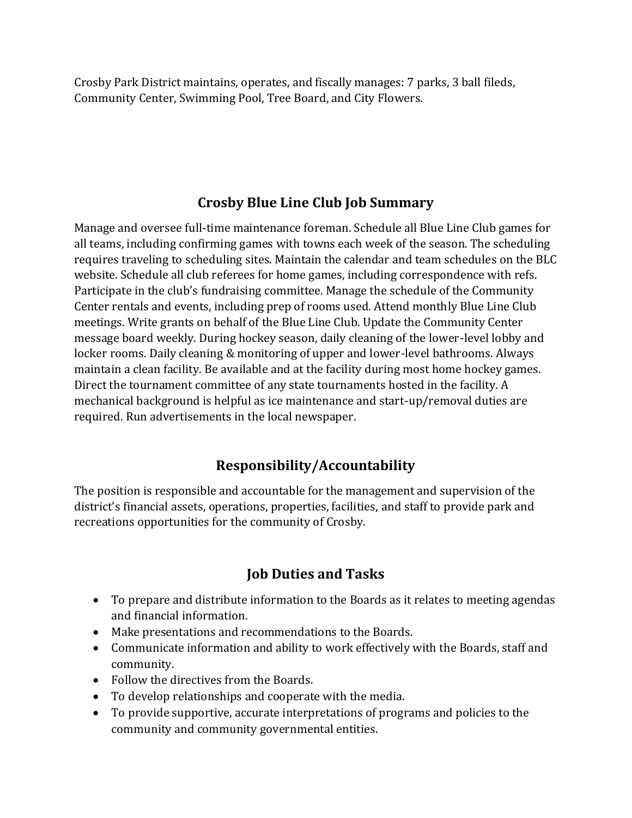Crosby Park District maintains, operates, and fiscally manages: 7 parks, 3 ball fileds, Community Center, Swimming Pool, Tree Board, and City Flowers.

### **Crosby Blue Line Club Job Summary**

Manage and oversee full-time maintenance foreman. Schedule all Blue Line Club games for all teams, including confirming games with towns each week of the season. The scheduling requires traveling to scheduling sites. Maintain the calendar and team schedules on the BLC website. Schedule all club referees for home games, including correspondence with refs. Participate in the club's fundraising committee. Manage the schedule of the Community Center rentals and events, including prep of rooms used. Attend monthly Blue Line Club meetings. Write grants on behalf of the Blue Line Club. Update the Community Center message board weekly. During hockey season, daily cleaning of the lower-level lobby and locker rooms. Daily cleaning & monitoring of upper and lower-level bathrooms. Always maintain a clean facility. Be available and at the facility during most home hockey games. Direct the tournament committee of any state tournaments hosted in the facility. A mechanical background is helpful as ice maintenance and start-up/removal duties are required. Run advertisements in the local newspaper.

# **Responsibility/Accountability**

The position is responsible and accountable for the management and supervision of the district's financial assets, operations, properties, facilities, and staff to provide park and recreations opportunities for the community of Crosby.

### **Job Duties and Tasks**

- To prepare and distribute information to the Boards as it relates to meeting agendas and financial information.
- Make presentations and recommendations to the Boards.
- Communicate information and ability to work effectively with the Boards, staff and community.
- Follow the directives from the Boards.
- To develop relationships and cooperate with the media.
- To provide supportive, accurate interpretations of programs and policies to the community and community governmental entities.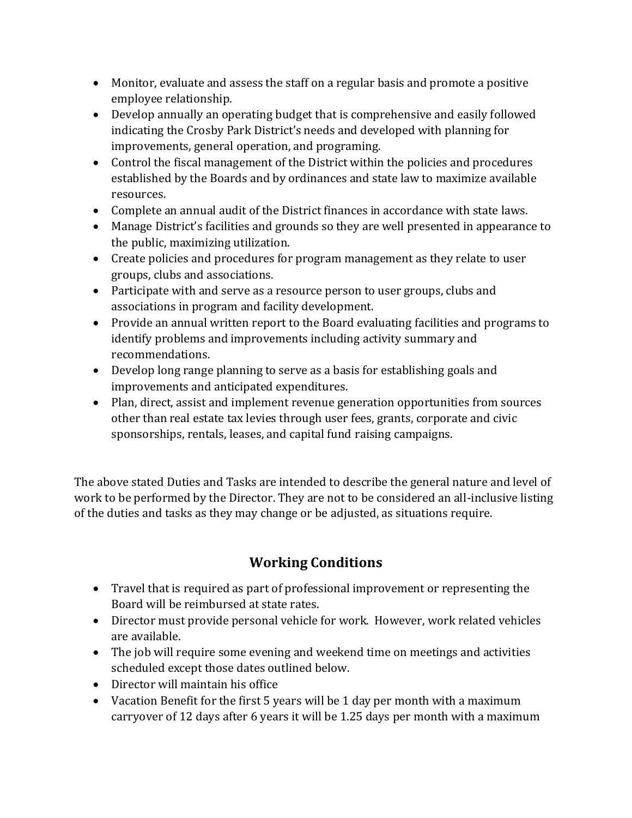- Monitor, evaluate and assess the staff on a regular basis and promote a positive employee relationship.
- Develop annually an operating budget that is comprehensive and easily followed indicating the Crosby Park District's needs and developed with planning for improvements, general operation, and programing.
- Control the fiscal management of the District within the policies and procedures established by the Boards and by ordinances and state law to maximize available resources.
- Complete an annual audit of the District finances in accordance with state laws.
- Manage District's facilities and grounds so they are well presented in appearance to the public, maximizing utilization.
- Create policies and procedures for program management as they relate to user groups, clubs and associations.
- Participate with and serve as a resource person to user groups, clubs and associations in program and facility development.
- Provide an annual written report to the Board evaluating facilities and programs to identify problems and improvements including activity summary and recommendations.
- Develop long range planning to serve as a basis for establishing goals and improvements and anticipated expenditures.
- Plan, direct, assist and implement revenue generation opportunities from sources other than real estate tax levies through user fees, grants, corporate and civic sponsorships, rentals, leases, and capital fund raising campaigns.

The above stated Duties and Tasks are intended to describe the general nature and level of work to be performed by the Director. They are not to be considered an all-inclusive listing of the duties and tasks as they may change or be adjusted, as situations require.

# **Working Conditions**

- Travel that is required as part of professional improvement or representing the Board will be reimbursed at state rates.
- Director must provide personal vehicle for work. However, work related vehicles are available.
- The job will require some evening and weekend time on meetings and activities scheduled except those dates outlined below.
- Director will maintain his office
- Vacation Benefit for the first 5 years will be 1 day per month with a maximum carryover of 12 days after 6 years it will be 1.25 days per month with a maximum